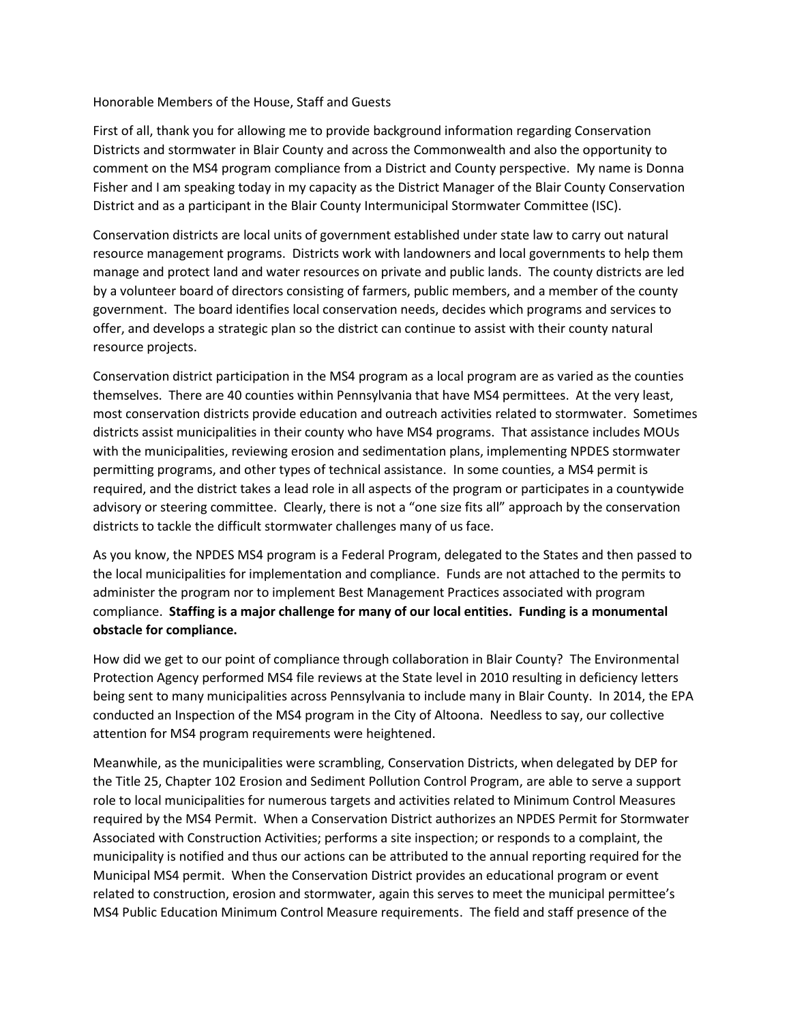## Honorable Members of the House, Staff and Guests

First of all, thank you for allowing me to provide background information regarding Conservation Districts and stormwater in Blair County and across the Commonwealth and also the opportunity to comment on the MS4 program compliance from a District and County perspective. My name is Donna Fisher and I am speaking today in my capacity as the District Manager of the Blair County Conservation District and as a participant in the Blair County Intermunicipal Stormwater Committee (ISC).

Conservation districts are local units of government established under state law to carry out natural resource management programs. Districts work with landowners and local governments to help them manage and protect land and water resources on private and public lands. The county districts are led by a volunteer board of directors consisting of farmers, public members, and a member of the county government. The board identifies local conservation needs, decides which programs and services to offer, and develops a strategic plan so the district can continue to assist with their county natural resource projects.

Conservation district participation in the MS4 program as a local program are as varied as the counties themselves. There are 40 counties within Pennsylvania that have MS4 permittees. At the very least, most conservation districts provide education and outreach activities related to stormwater. Sometimes districts assist municipalities in their county who have MS4 programs. That assistance includes MOUs with the municipalities, reviewing erosion and sedimentation plans, implementing NPDES stormwater permitting programs, and other types of technical assistance. In some counties, a MS4 permit is required, and the district takes a lead role in all aspects of the program or participates in a countywide advisory or steering committee. Clearly, there is not a "one size fits all" approach by the conservation districts to tackle the difficult stormwater challenges many of us face.

As you know, the NPDES MS4 program is a Federal Program, delegated to the States and then passed to the local municipalities for implementation and compliance. Funds are not attached to the permits to administer the program nor to implement Best Management Practices associated with program compliance. **Staffing is a major challenge for many of our local entities. Funding is a monumental obstacle for compliance.**

How did we get to our point of compliance through collaboration in Blair County? The Environmental Protection Agency performed MS4 file reviews at the State level in 2010 resulting in deficiency letters being sent to many municipalities across Pennsylvania to include many in Blair County. In 2014, the EPA conducted an Inspection of the MS4 program in the City of Altoona. Needless to say, our collective attention for MS4 program requirements were heightened.

Meanwhile, as the municipalities were scrambling, Conservation Districts, when delegated by DEP for the Title 25, Chapter 102 Erosion and Sediment Pollution Control Program, are able to serve a support role to local municipalities for numerous targets and activities related to Minimum Control Measures required by the MS4 Permit. When a Conservation District authorizes an NPDES Permit for Stormwater Associated with Construction Activities; performs a site inspection; or responds to a complaint, the municipality is notified and thus our actions can be attributed to the annual reporting required for the Municipal MS4 permit. When the Conservation District provides an educational program or event related to construction, erosion and stormwater, again this serves to meet the municipal permittee's MS4 Public Education Minimum Control Measure requirements. The field and staff presence of the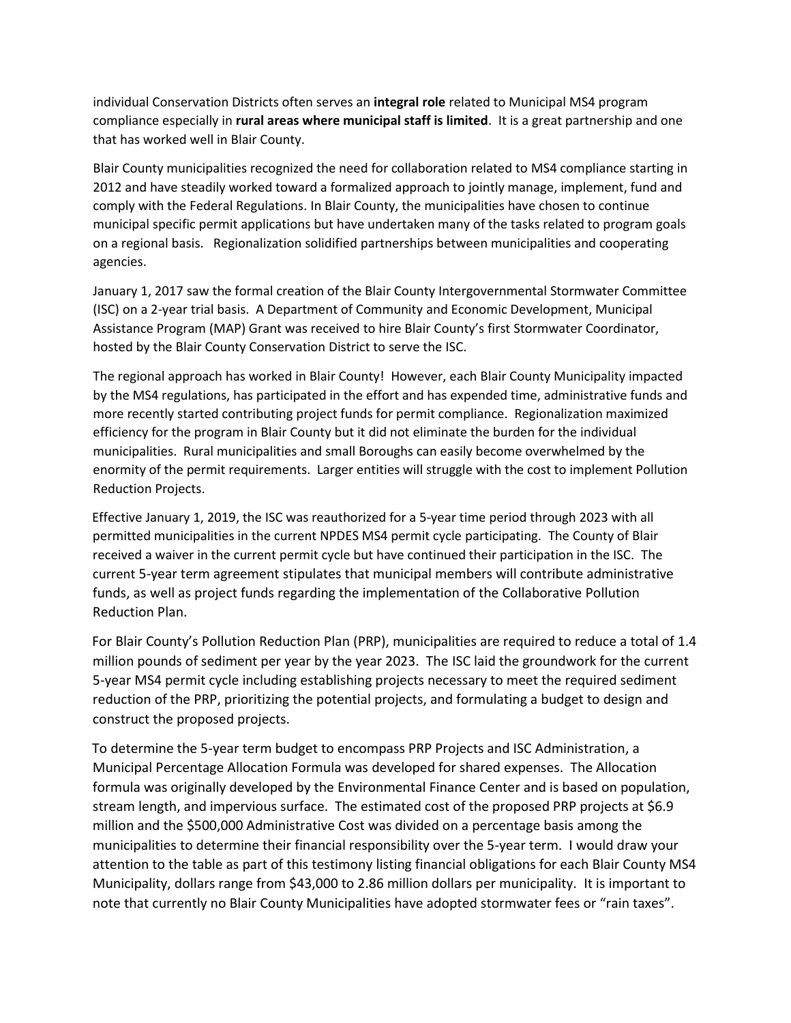individual Conservation Districts often serves an **integral role** related to Municipal MS4 program compliance especially in **rural areas where municipal staff is limited**. It is a great partnership and one that has worked well in Blair County.

Blair County municipalities recognized the need for collaboration related to MS4 compliance starting in 2012 and have steadily worked toward a formalized approach to jointly manage, implement, fund and comply with the Federal Regulations. In Blair County, the municipalities have chosen to continue municipal specific permit applications but have undertaken many of the tasks related to program goals on a regional basis. Regionalization solidified partnerships between municipalities and cooperating agencies.

January 1, 2017 saw the formal creation of the Blair County Intergovernmental Stormwater Committee (ISC) on a 2-year trial basis. A Department of Community and Economic Development, Municipal Assistance Program (MAP) Grant was received to hire Blair County's first Stormwater Coordinator, hosted by the Blair County Conservation District to serve the ISC.

The regional approach has worked in Blair County! However, each Blair County Municipality impacted by the MS4 regulations, has participated in the effort and has expended time, administrative funds and more recently started contributing project funds for permit compliance. Regionalization maximized efficiency for the program in Blair County but it did not eliminate the burden for the individual municipalities. Rural municipalities and small Boroughs can easily become overwhelmed by the enormity of the permit requirements. Larger entities will struggle with the cost to implement Pollution Reduction Projects.

Effective January 1, 2019, the ISC was reauthorized for a 5-year time period through 2023 with all permitted municipalities in the current NPDES MS4 permit cycle participating. The County of Blair received a waiver in the current permit cycle but have continued their participation in the ISC. The current 5-year term agreement stipulates that municipal members will contribute administrative funds, as well as project funds regarding the implementation of the Collaborative Pollution Reduction Plan.

For Blair County's Pollution Reduction Plan (PRP), municipalities are required to reduce a total of 1.4 million pounds of sediment per year by the year 2023. The ISC laid the groundwork for the current 5-year MS4 permit cycle including establishing projects necessary to meet the required sediment reduction of the PRP, prioritizing the potential projects, and formulating a budget to design and construct the proposed projects.

To determine the 5-year term budget to encompass PRP Projects and ISC Administration, a Municipal Percentage Allocation Formula was developed for shared expenses. The Allocation formula was originally developed by the Environmental Finance Center and is based on population, stream length, and impervious surface. The estimated cost of the proposed PRP projects at \$6.9 million and the \$500,000 Administrative Cost was divided on a percentage basis among the municipalities to determine their financial responsibility over the 5-year term. I would draw your attention to the table as part of this testimony listing financial obligations for each Blair County MS4 Municipality, dollars range from \$43,000 to 2.86 million dollars per municipality. It is important to note that currently no Blair County Municipalities have adopted stormwater fees or "rain taxes".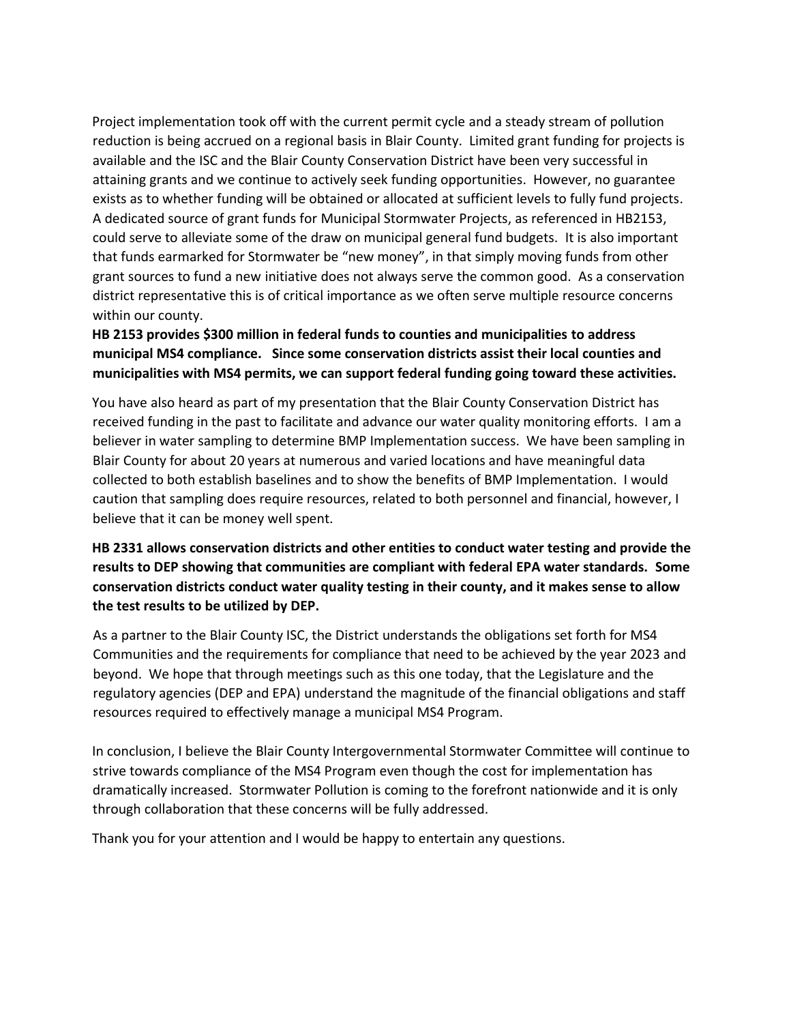Project implementation took off with the current permit cycle and a steady stream of pollution reduction is being accrued on a regional basis in Blair County. Limited grant funding for projects is available and the ISC and the Blair County Conservation District have been very successful in attaining grants and we continue to actively seek funding opportunities. However, no guarantee exists as to whether funding will be obtained or allocated at sufficient levels to fully fund projects. A dedicated source of grant funds for Municipal Stormwater Projects, as referenced in HB2153, could serve to alleviate some of the draw on municipal general fund budgets. It is also important that funds earmarked for Stormwater be "new money", in that simply moving funds from other grant sources to fund a new initiative does not always serve the common good. As a conservation district representative this is of critical importance as we often serve multiple resource concerns within our county.

## **HB 2153 provides \$300 million in federal funds to counties and municipalities to address municipal MS4 compliance. Since some conservation districts assist their local counties and municipalities with MS4 permits, we can support federal funding going toward these activities.**

You have also heard as part of my presentation that the Blair County Conservation District has received funding in the past to facilitate and advance our water quality monitoring efforts. I am a believer in water sampling to determine BMP Implementation success. We have been sampling in Blair County for about 20 years at numerous and varied locations and have meaningful data collected to both establish baselines and to show the benefits of BMP Implementation. I would caution that sampling does require resources, related to both personnel and financial, however, I believe that it can be money well spent.

**HB 2331 allows conservation districts and other entities to conduct water testing and provide the results to DEP showing that communities are compliant with federal EPA water standards. Some conservation districts conduct water quality testing in their county, and it makes sense to allow the test results to be utilized by DEP.**

As a partner to the Blair County ISC, the District understands the obligations set forth for MS4 Communities and the requirements for compliance that need to be achieved by the year 2023 and beyond. We hope that through meetings such as this one today, that the Legislature and the regulatory agencies (DEP and EPA) understand the magnitude of the financial obligations and staff resources required to effectively manage a municipal MS4 Program.

In conclusion, I believe the Blair County Intergovernmental Stormwater Committee will continue to strive towards compliance of the MS4 Program even though the cost for implementation has dramatically increased. Stormwater Pollution is coming to the forefront nationwide and it is only through collaboration that these concerns will be fully addressed.

Thank you for your attention and I would be happy to entertain any questions.